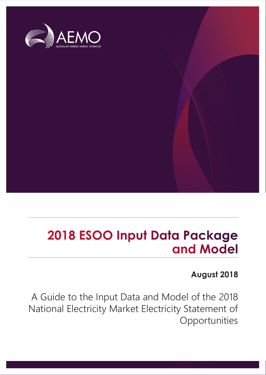

## 2018 ESOO Input Data Package and Model

### **August 2018**

A Guide to the Input Data and Model of the 2018 National Electricity Market Electricity Statement of Opportunities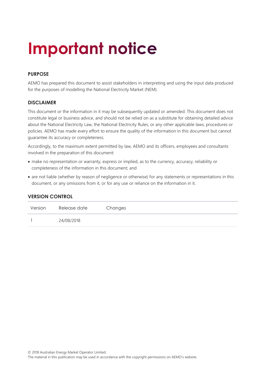## **Important notice**

### **PURPOSE**

AEMO has prepared this document to assist stakeholders in interpreting and using the input data produced for the purposes of modelling the National Electricity Market (NEM).

### **DISCLAIMER**

This document or the information in it may be subsequently updated or amended. This document does not constitute legal or business advice, and should not be relied on as a substitute for obtaining detailed advice about the National Electricity Law, the National Electricity Rules, or any other applicable laws, procedures or policies. AEMO has made every effort to ensure the quality of the information in this document but cannot guarantee its accuracy or completeness.

Accordingly, to the maximum extent permitted by law, AEMO and its officers, employees and consultants involved in the preparation of this document:

- make no representation or warranty, express or implied, as to the currency, accuracy, reliability or completeness of the information in this document; and
- are not liable (whether by reason of negligence or otherwise) for any statements or representations in this document, or any omissions from it, or for any use or reliance on the information in it.

| Version | Release date | Changes |
|---------|--------------|---------|
|         | 24/08/2018   |         |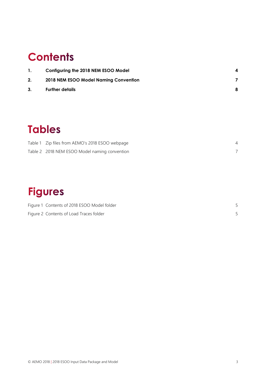### **Contents**

| $\mathbf{1}$ . | Configuring the 2018 NEM ESOO Model   |   |
|----------------|---------------------------------------|---|
| 2.             | 2018 NEM ESOO Model Naming Convention |   |
| 3.             | <b>Further details</b>                | 8 |

### **Tables**

| Table 1 Zip files from AEMO's 2018 ESOO webpage |  |
|-------------------------------------------------|--|
| Table 2 2018 NEM ESOO Model naming convention   |  |

### **Figures**

| Figure 1 Contents of 2018 ESOO Model folder |  |
|---------------------------------------------|--|
| Figure 2 Contents of Load Traces folder     |  |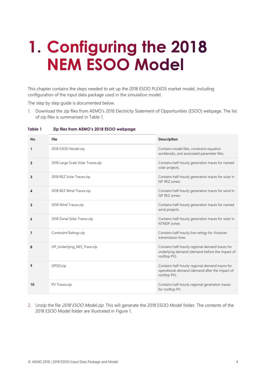## <span id="page-3-0"></span>1. Configuring the 2018 **NEM ESOO Model**

This chapter contains the steps needed to set up the 2018 ESOO PLEXOS market model, including configuration of the input data package used in the simulation model.

The step by step guide is documented below.

1. Download the zip files from AEMO's 2018 Electricity Statement of Opportunities (ESOO) webpage. The list of zip files is summarised in [Table 1.](#page-3-1)

| <b>No</b>      | File                              | <b>Description</b>                                                                                                |
|----------------|-----------------------------------|-------------------------------------------------------------------------------------------------------------------|
| $\mathbf{1}$   | 2018 ESOO Model.zip               | Contains model files, constraint equation<br>workbooks, and associated parameter files.                           |
| $\mathbf{2}$   | 2018 Large Scale Solar Traces.zip | Contains half-hourly generation traces for named<br>solar projects.                                               |
| 3              | 2018 REZ Solar Traces.zip         | Contains half-hourly generation traces for solar in<br>ISP REZ zones.                                             |
| 4              | 2018 REZ Wind Traces.zip          | Contains half-hourly generation traces for wind in<br>ISP REZ zones.                                              |
| 5              | 2018 Wind Traces.zip              | Contains half-hourly generation traces for named<br>wind projects.                                                |
| 6              | 2018 Zonal Solar Traces.zip       | Contains half-hourly generation traces for solar in<br>NTNDP zones.                                               |
| $\overline{7}$ | <b>Constraint Ratings.zip</b>     | Contains half-hourly line ratings for Victorian<br>transmission lines.                                            |
| 8              | OP Underlying NES Trace.zip       | Contains half-hourly regional demand traces for<br>underlying demand (demand before the impact of<br>rooftop PV). |
| 9              | OPSO.zip                          | Contains half-hourly regional demand traces for<br>operational demand (demand after the impact of<br>rooftop PV). |
| 10             | PV Traces.zip                     | Contains half-hourly regional generation traces<br>for rooftop PV.                                                |

#### <span id="page-3-1"></span>**Table 1 Zip files from AEMO's 2018 ESOO webpage**

2. Unzip the file 2018 ESOO Model.zip. This will generate the 2018 ESOO Model folder. The contents of the 2018 ESOO Model folder are illustrated in [Figure 1.](#page-4-0)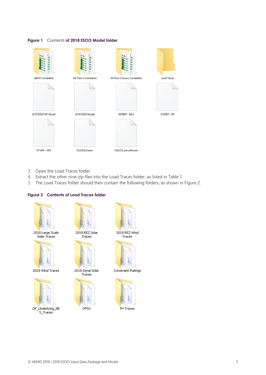#### <span id="page-4-0"></span>**Figure 1** Contents **of 2018 ESOO Model folder**



- 3. Open the Load Traces folder.
- 4. Extract the other nine zip files into the Load Traces folder, as listed in [Table 1.](#page-3-1)
- 5. The Load Traces folder should then contain the following folders, as shown in Figure 2.

#### <span id="page-4-1"></span>**Figure 2 Contents of Load Traces folder**



OPSO

OP\_Underlying\_NE S\_Traces



Traces



Constraint Ratings

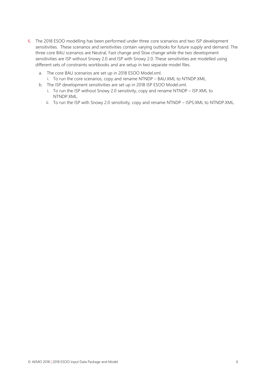- 6. The 2018 ESOO modelling has been performed under three core scenarios and two ISP development sensitivities. These scenarios and sensitivities contain varying outlooks for future supply and demand. The three core BAU scenarios are Neutral, Fast change and Slow change while the two development sensitivities are ISP without Snowy 2.0 and ISP with Snowy 2.0. These sensitivities are modelled using different sets of constraints workbooks and are setup in two separate model files.
	- a. The core BAU scenarios are set up in 2018 ESOO Model.xml.
		- i. To run the core scenarios, copy and rename NTNDP BAU.XML to NTNDP.XML.
	- b. The ISP development sensitivities are set up in 2018 ISP ESOO Model.xml.
		- i. To run the ISP without Snowy 2.0 sensitivity, copy and rename NTNDP ISP.XML to NTNDP.XML.
		- ii. To run the ISP with Snowy 2.0 sensitivity, copy and rename NTNDP ISPS.XML to NTNDP.XML.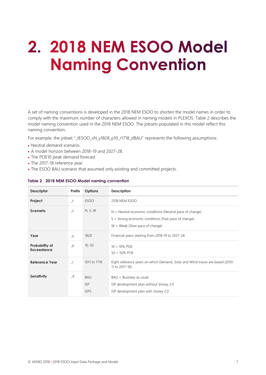## <span id="page-6-0"></span>2. 2018 NEM ESOO Model **Naming Convention**

A set of naming conventions is developed in the 2018 NEM ESOO to shorten the model names in order to comply with the maximum number of characters allowed in naming models in PLEXOS. [Table 2](#page-6-1) describes the model naming convention used in the 2018 NEM ESOO. The jobsets populated in this model reflect this naming convention.

For example, the jobset "\_tESOO\_sN\_y1828\_p10\_r1718\_dBAU" represents the following assumptions:

- Neutral demand scenario.
- A model horizon between 2018-19 and 2027-28.
- The POE10 peak demand forecast
- The 2017-18 reference year.
- <span id="page-6-1"></span>The ESOO BAU scenario that assumed only existing and committed projects.

| <b>Descriptor</b>                   | Prefix        | <b>Options</b>                          | <b>Description</b>                                                                                                                                     |
|-------------------------------------|---------------|-----------------------------------------|--------------------------------------------------------------------------------------------------------------------------------------------------------|
| Project                             | $\mathsf{t}$  | <b>ESOO</b>                             | 2018 NEM ESOO                                                                                                                                          |
| Scenario                            | S             | N, S, W                                 | $N =$ Neutral economic conditions (Neutral pace of change)<br>S = Strong economic conditions (Fast pace of change)<br>$W =$ Weak (Slow pace of change) |
| Year                                | Y             | 1828                                    | Financial years starting from 2018-19 to 2027-28                                                                                                       |
| Probability of<br><b>Exceedance</b> | $-p$          | 10, 50                                  | $10 = 10\%$ POE<br>$50 = 50\%$ POE                                                                                                                     |
| Reference Year                      | $\mathsf{r}$  | 1011 to 1718                            | Eight reference years on which Demand, Solar and Wind traces are based (2010-<br>11 to 2017-18)                                                        |
| Sensitivity                         | $\lrcorner$ d | <b>BAU</b><br><b>ISP</b><br><b>ISPS</b> | $BAU = Business$ as usual<br>ISP development plan without Snowy 2.0<br>ISP development plan with Snowy 2.0                                             |

#### **Table 2 2018 NEM ESOO Model naming convention**